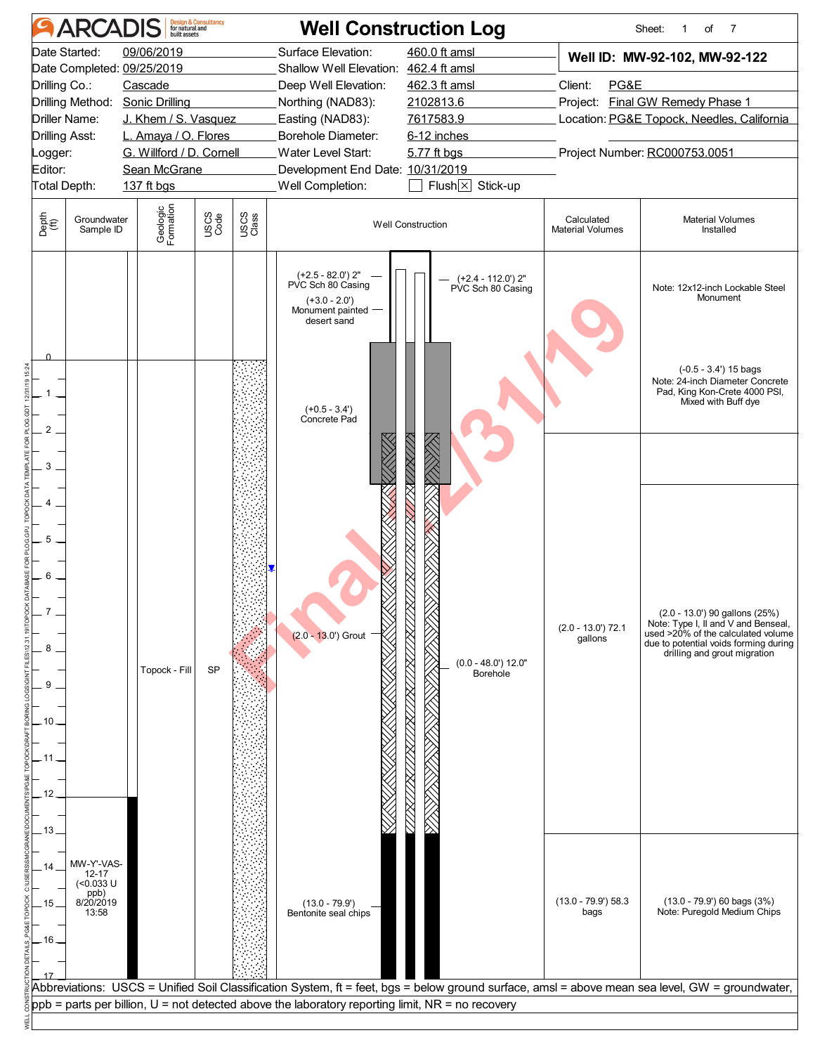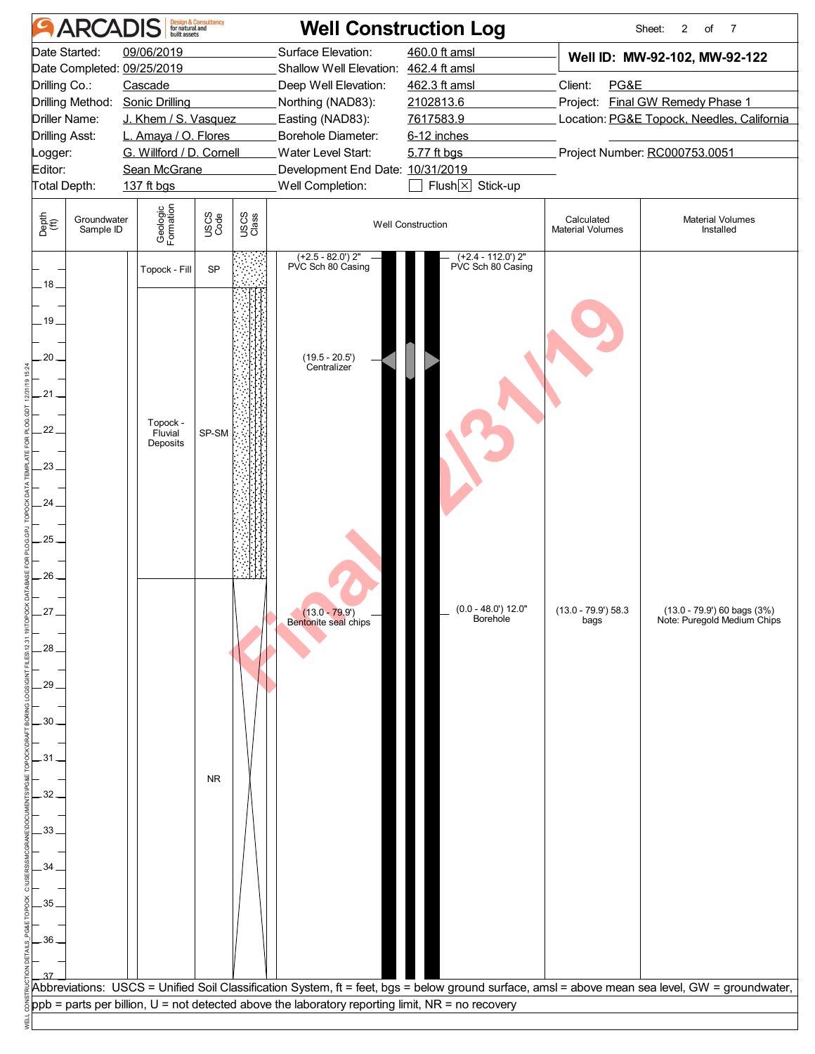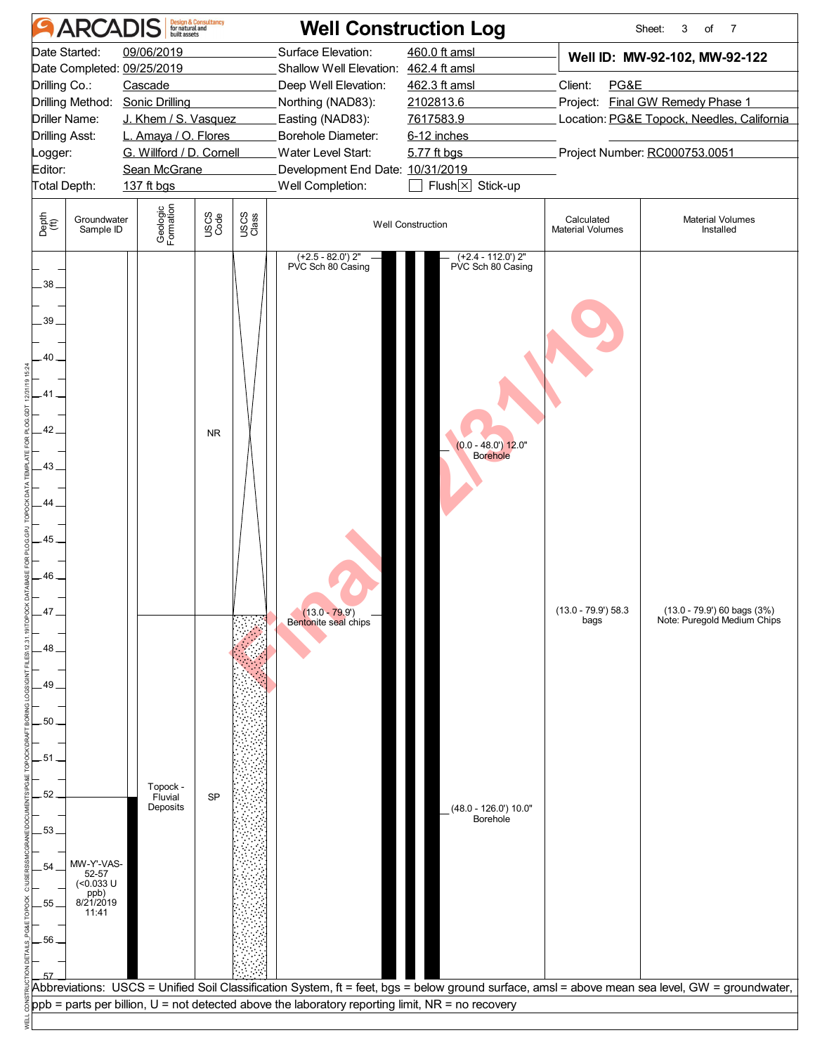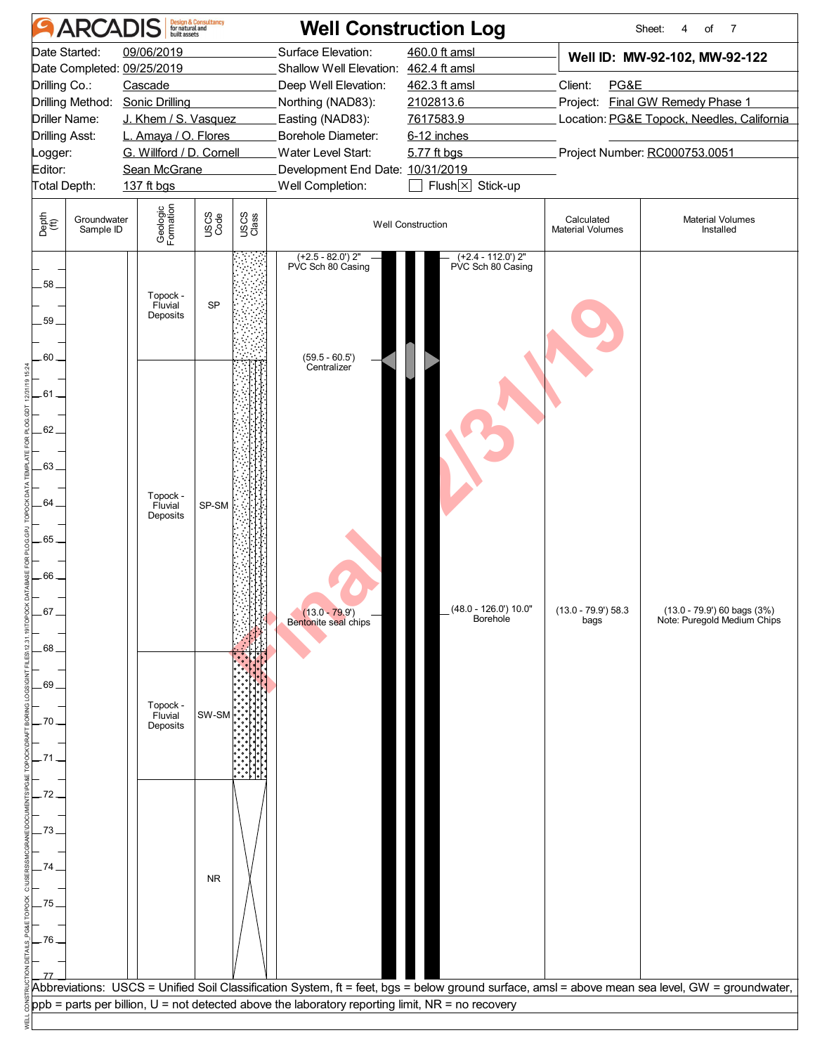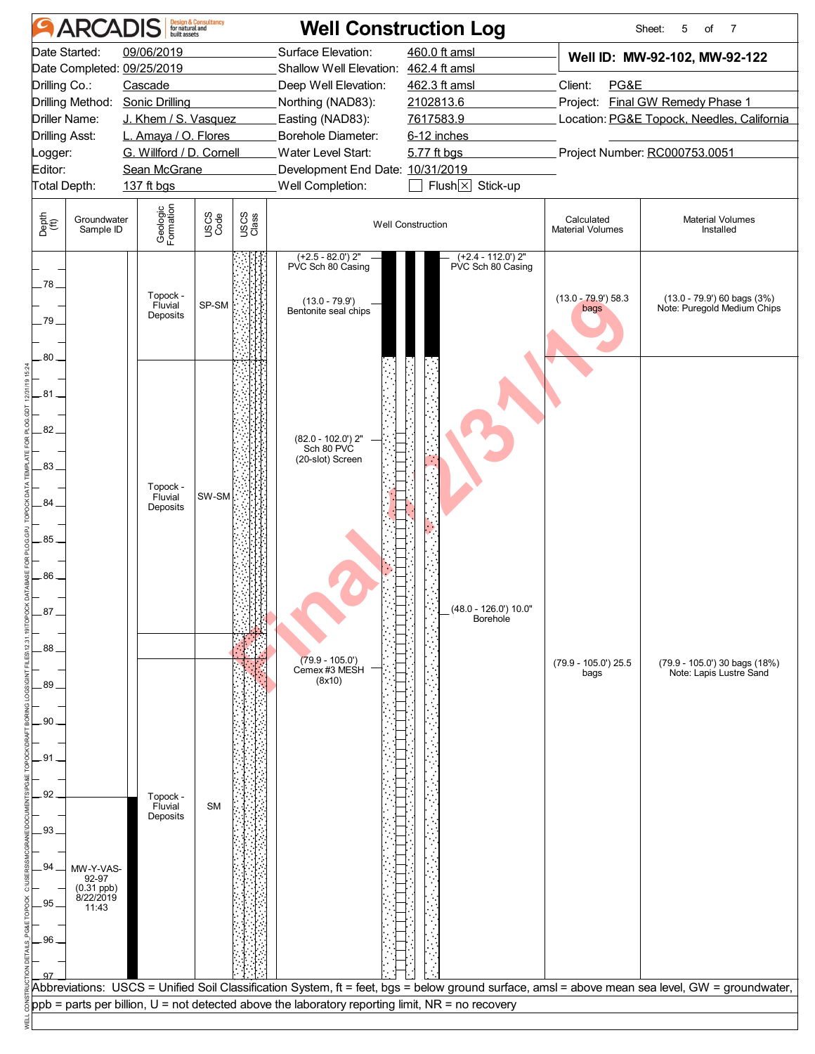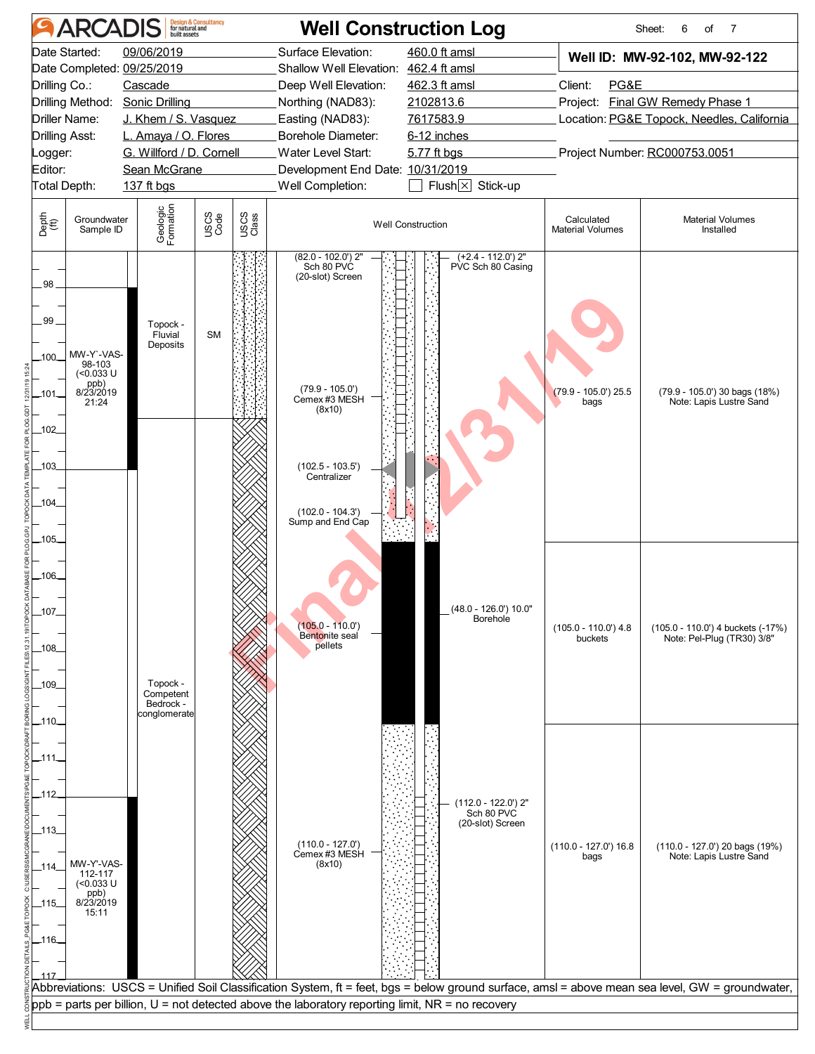![](_page_5_Figure_0.jpeg)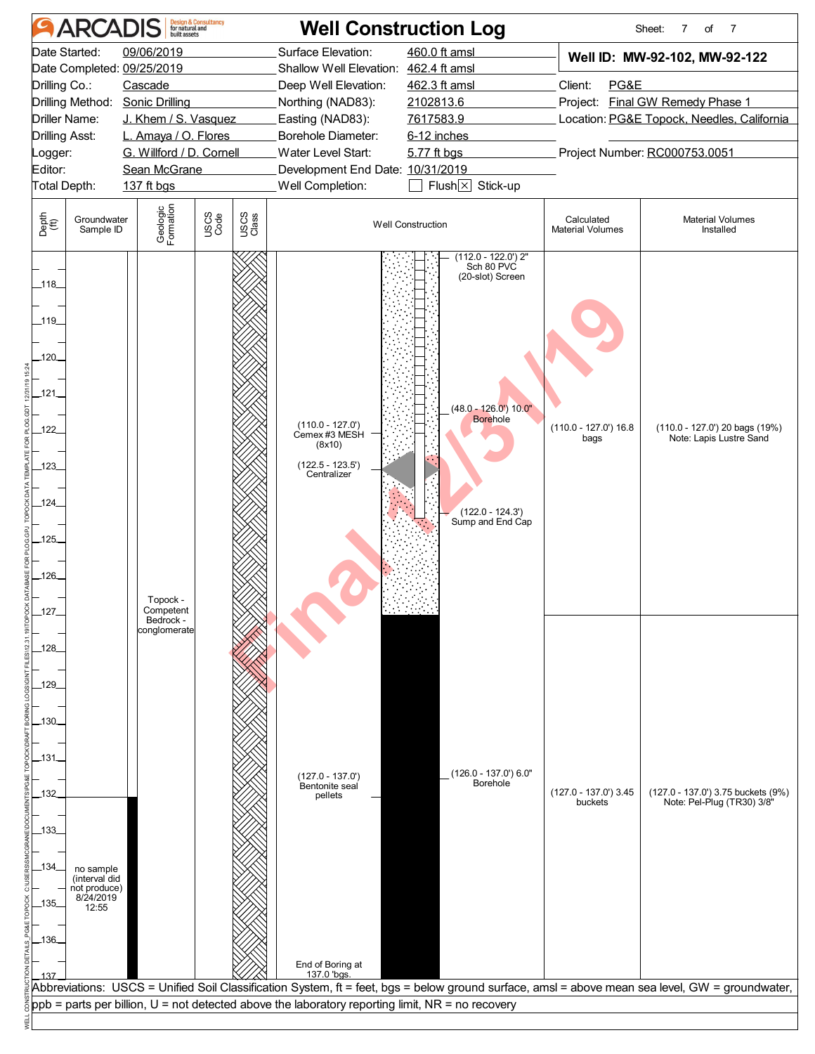![](_page_6_Figure_0.jpeg)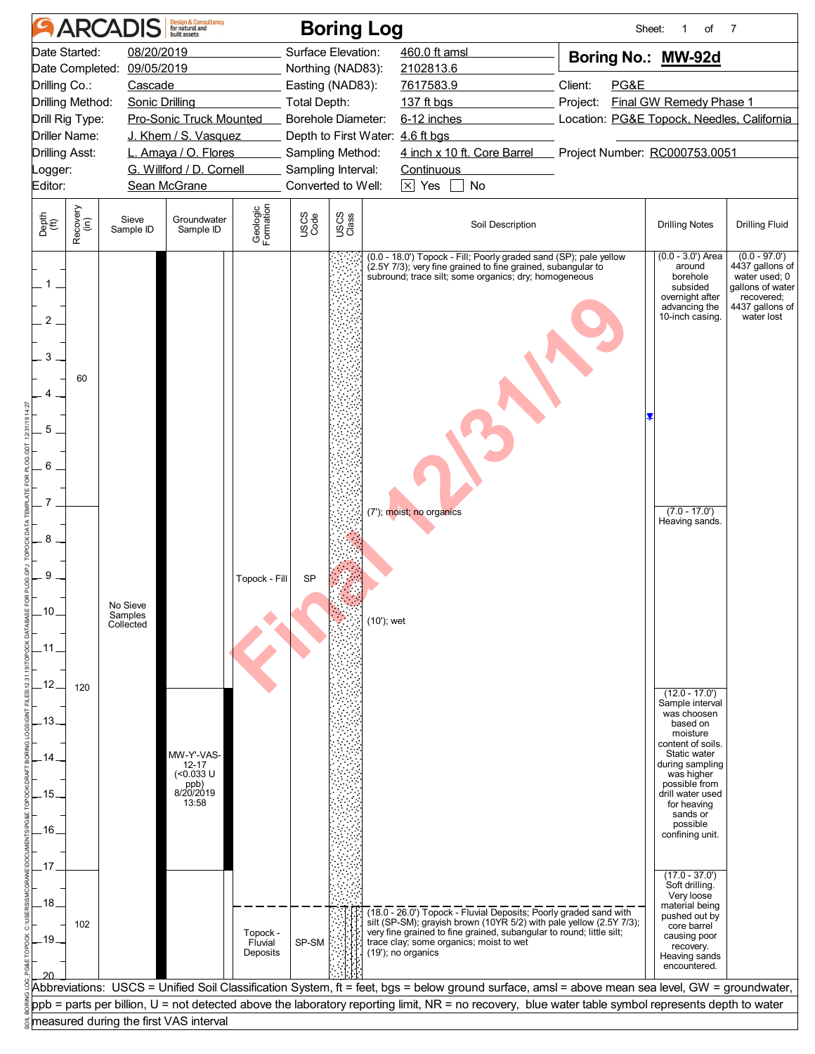![](_page_7_Figure_0.jpeg)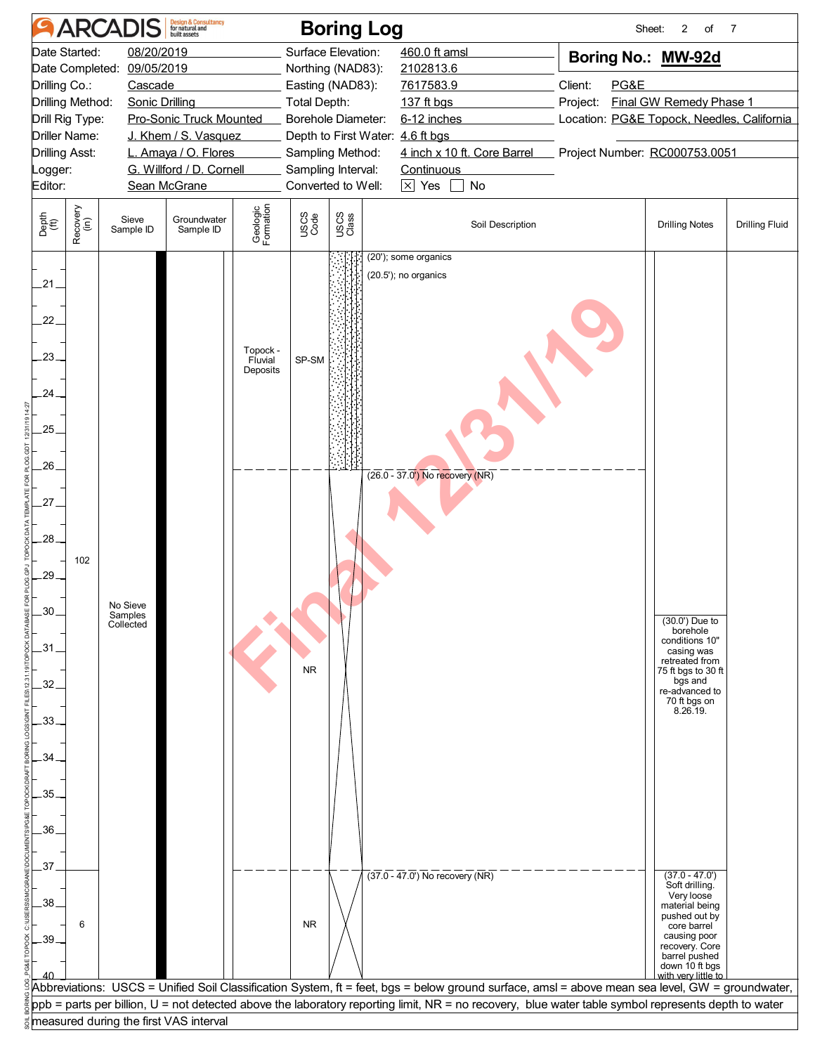![](_page_8_Figure_0.jpeg)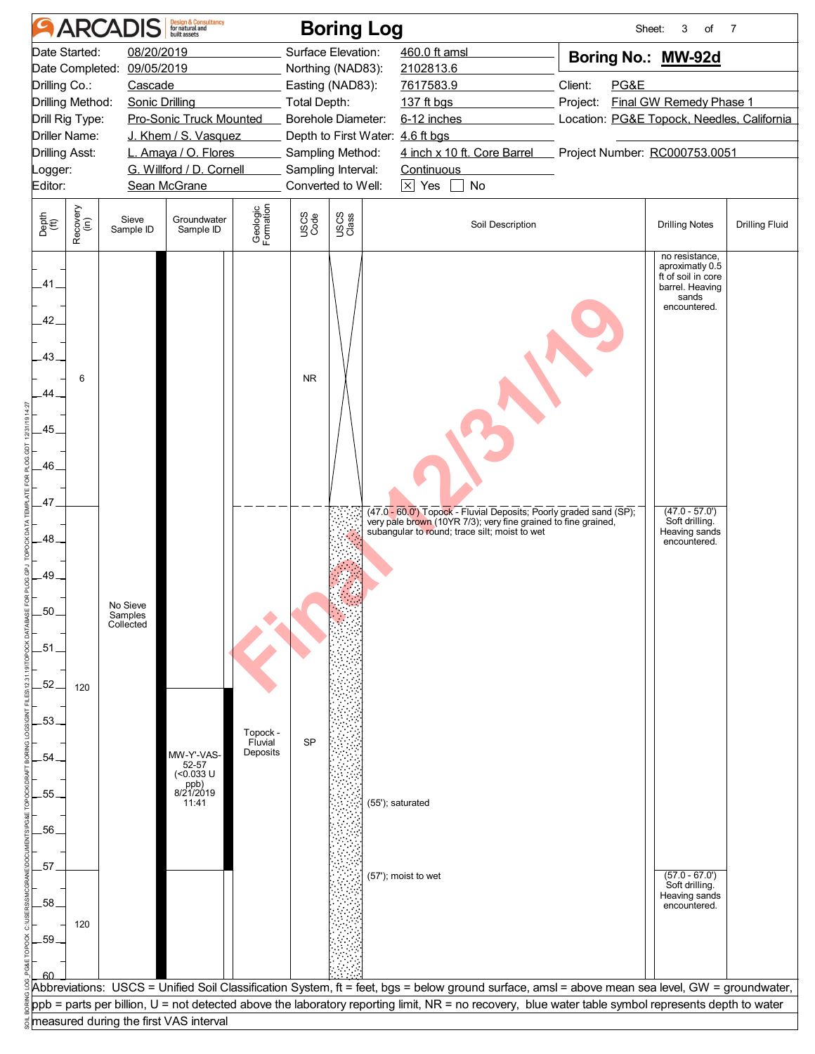![](_page_9_Figure_0.jpeg)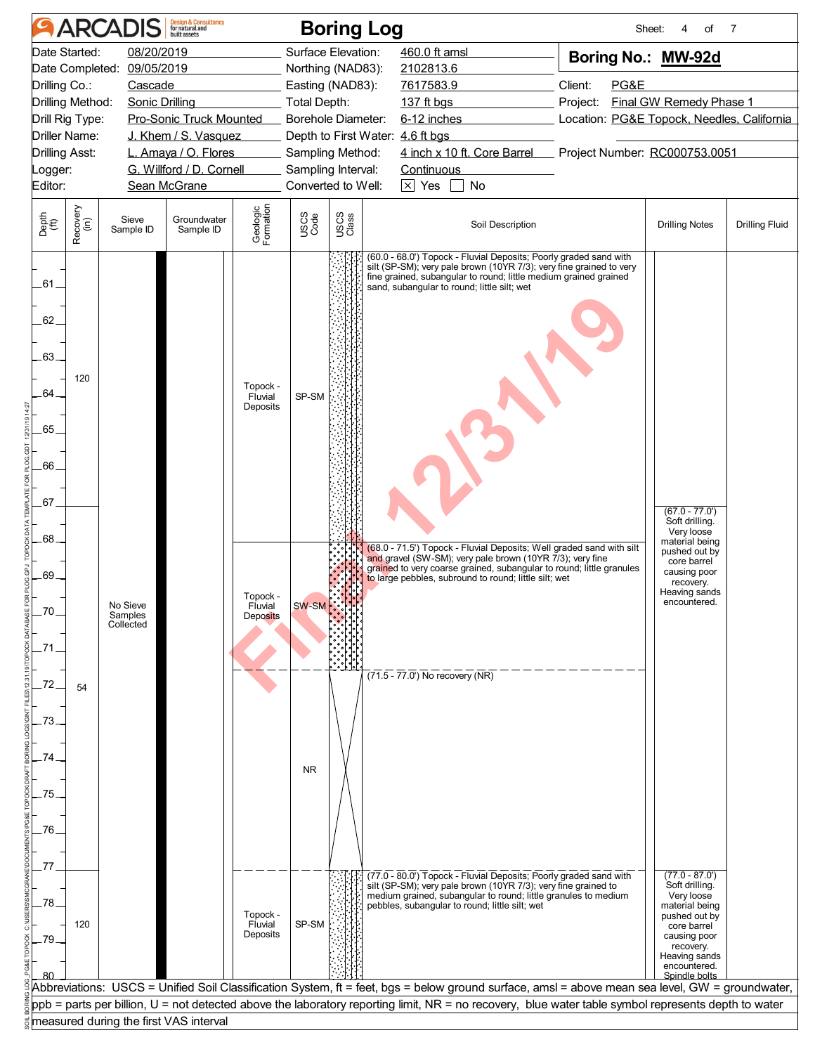| 08/20/2019<br>Surface Elevation:<br>Date Started:<br>460.0 ft amsl<br>Boring No.: MW-92d<br>Date Completed:<br>09/05/2019<br>Northing (NAD83):<br>2102813.6<br>Drilling Co.:<br>Client:<br>PG&E<br>Cascade<br>Easting (NAD83):<br>7617583.9<br><b>Final GW Remedy Phase 1</b><br>Drilling Method:<br>Sonic Drilling<br>Total Depth:<br>137 ft bgs<br>Project:<br>Drill Rig Type:<br>Pro-Sonic Truck Mounted<br>Borehole Diameter:<br>6-12 inches<br>Location: PG&E Topock, Needles, California<br>Driller Name:<br>J. Khem / S. Vasquez<br>Depth to First Water: 4.6 ft bgs<br>4 inch x 10 ft. Core Barrel<br>Project Number: RC000753.0051<br>Drilling Asst:<br>L. Amaya / O. Flores<br>Sampling Method:<br>G. Willford / D. Cornell<br>Sampling Interval:<br>Continuous<br>Logger:<br>Converted to Well:<br>$\boxed{\times}$ Yes<br>$\Box$ No<br>Editor:<br>Sean McGrane<br>Geologic<br>Formation<br>Recovery<br>(in)<br>USCS<br>Class<br>USCS<br>Code<br>Depth<br>(ft)<br>Groundwater<br>Sieve<br>Soil Description<br><b>Drilling Notes</b><br>Sample ID<br>Sample ID<br>(60.0 - 68.0') Topock - Fluvial Deposits; Poorly graded sand with<br>silt (SP-SM); very pale brown (10YR 7/3); very fine grained to very<br>fine grained, subangular to round; little medium grained grained<br>.61.<br>sand, subangular to round; little silt; wet<br>62.<br>$-63$ . | <b>Drilling Fluid</b> |
|-------------------------------------------------------------------------------------------------------------------------------------------------------------------------------------------------------------------------------------------------------------------------------------------------------------------------------------------------------------------------------------------------------------------------------------------------------------------------------------------------------------------------------------------------------------------------------------------------------------------------------------------------------------------------------------------------------------------------------------------------------------------------------------------------------------------------------------------------------------------------------------------------------------------------------------------------------------------------------------------------------------------------------------------------------------------------------------------------------------------------------------------------------------------------------------------------------------------------------------------------------------------------------------------------------------------------------------------------------------------|-----------------------|
|                                                                                                                                                                                                                                                                                                                                                                                                                                                                                                                                                                                                                                                                                                                                                                                                                                                                                                                                                                                                                                                                                                                                                                                                                                                                                                                                                                   |                       |
|                                                                                                                                                                                                                                                                                                                                                                                                                                                                                                                                                                                                                                                                                                                                                                                                                                                                                                                                                                                                                                                                                                                                                                                                                                                                                                                                                                   |                       |
|                                                                                                                                                                                                                                                                                                                                                                                                                                                                                                                                                                                                                                                                                                                                                                                                                                                                                                                                                                                                                                                                                                                                                                                                                                                                                                                                                                   |                       |
|                                                                                                                                                                                                                                                                                                                                                                                                                                                                                                                                                                                                                                                                                                                                                                                                                                                                                                                                                                                                                                                                                                                                                                                                                                                                                                                                                                   |                       |
|                                                                                                                                                                                                                                                                                                                                                                                                                                                                                                                                                                                                                                                                                                                                                                                                                                                                                                                                                                                                                                                                                                                                                                                                                                                                                                                                                                   |                       |
|                                                                                                                                                                                                                                                                                                                                                                                                                                                                                                                                                                                                                                                                                                                                                                                                                                                                                                                                                                                                                                                                                                                                                                                                                                                                                                                                                                   |                       |
|                                                                                                                                                                                                                                                                                                                                                                                                                                                                                                                                                                                                                                                                                                                                                                                                                                                                                                                                                                                                                                                                                                                                                                                                                                                                                                                                                                   |                       |
|                                                                                                                                                                                                                                                                                                                                                                                                                                                                                                                                                                                                                                                                                                                                                                                                                                                                                                                                                                                                                                                                                                                                                                                                                                                                                                                                                                   |                       |
| 120<br>Topock -<br>64<br>SP-SM<br>Fluvial<br>Deposits<br>.65                                                                                                                                                                                                                                                                                                                                                                                                                                                                                                                                                                                                                                                                                                                                                                                                                                                                                                                                                                                                                                                                                                                                                                                                                                                                                                      |                       |
| 66                                                                                                                                                                                                                                                                                                                                                                                                                                                                                                                                                                                                                                                                                                                                                                                                                                                                                                                                                                                                                                                                                                                                                                                                                                                                                                                                                                |                       |
| .67<br>$(67.0 - 77.0')$<br>Soft drilling.<br>Very loose                                                                                                                                                                                                                                                                                                                                                                                                                                                                                                                                                                                                                                                                                                                                                                                                                                                                                                                                                                                                                                                                                                                                                                                                                                                                                                           |                       |
| .68<br>material being<br>(68.0 - 71.5') Topock - Fluvial Deposits; Well graded sand with silt<br>pushed out by<br>and gravel (SW-SM); very pale brown (10YR 7/3); very fine<br>core barrel<br>grained to very coarse grained, subangular to round; little granules<br>causing poor<br>.69.<br>to large pebbles, subround to round; little silt; wet<br>recovery.                                                                                                                                                                                                                                                                                                                                                                                                                                                                                                                                                                                                                                                                                                                                                                                                                                                                                                                                                                                                  |                       |
| Heaving sands<br>Topock -<br>encountered.<br>No Sieve<br>SW-SM<br>Fluvial<br>Samples<br>Deposits<br>Collected                                                                                                                                                                                                                                                                                                                                                                                                                                                                                                                                                                                                                                                                                                                                                                                                                                                                                                                                                                                                                                                                                                                                                                                                                                                     |                       |
| $(71.5 - 77.0)$ No recovery (NR)<br>54                                                                                                                                                                                                                                                                                                                                                                                                                                                                                                                                                                                                                                                                                                                                                                                                                                                                                                                                                                                                                                                                                                                                                                                                                                                                                                                            |                       |
|                                                                                                                                                                                                                                                                                                                                                                                                                                                                                                                                                                                                                                                                                                                                                                                                                                                                                                                                                                                                                                                                                                                                                                                                                                                                                                                                                                   |                       |
| <b>NR</b><br>75                                                                                                                                                                                                                                                                                                                                                                                                                                                                                                                                                                                                                                                                                                                                                                                                                                                                                                                                                                                                                                                                                                                                                                                                                                                                                                                                                   |                       |
| 76                                                                                                                                                                                                                                                                                                                                                                                                                                                                                                                                                                                                                                                                                                                                                                                                                                                                                                                                                                                                                                                                                                                                                                                                                                                                                                                                                                |                       |
| $(77.0 - 87.0')$<br>(77.0 - 80.0') Topock - Fluvial Deposits; Poorly graded sand with<br>silt (SP-SM); very pale brown (10YR 7/3); very fine grained to<br>Soft drilling.<br>Very loose<br>medium grained, subangular to round; little granules to medium                                                                                                                                                                                                                                                                                                                                                                                                                                                                                                                                                                                                                                                                                                                                                                                                                                                                                                                                                                                                                                                                                                         |                       |
| 78<br>pebbles, subangular to round; little silt; wet<br>material being<br>Topock -<br>pushed out by<br>SP-SM<br>Fluvial<br>120<br>core barrel<br>Deposits<br>causing poor<br>recovery.<br>Heaving sands<br>encountered.                                                                                                                                                                                                                                                                                                                                                                                                                                                                                                                                                                                                                                                                                                                                                                                                                                                                                                                                                                                                                                                                                                                                           |                       |
| Spindle bolts<br>Abbreviations: USCS = Unified Soil Classification System, ft = feet, bgs = below ground surface, amsl = above mean sea level, GW = groundwater,                                                                                                                                                                                                                                                                                                                                                                                                                                                                                                                                                                                                                                                                                                                                                                                                                                                                                                                                                                                                                                                                                                                                                                                                  |                       |
| ppb = parts per billion, U = not detected above the laboratory reporting limit, NR = no recovery, blue water table symbol represents depth to water<br>measured during the first VAS interval                                                                                                                                                                                                                                                                                                                                                                                                                                                                                                                                                                                                                                                                                                                                                                                                                                                                                                                                                                                                                                                                                                                                                                     |                       |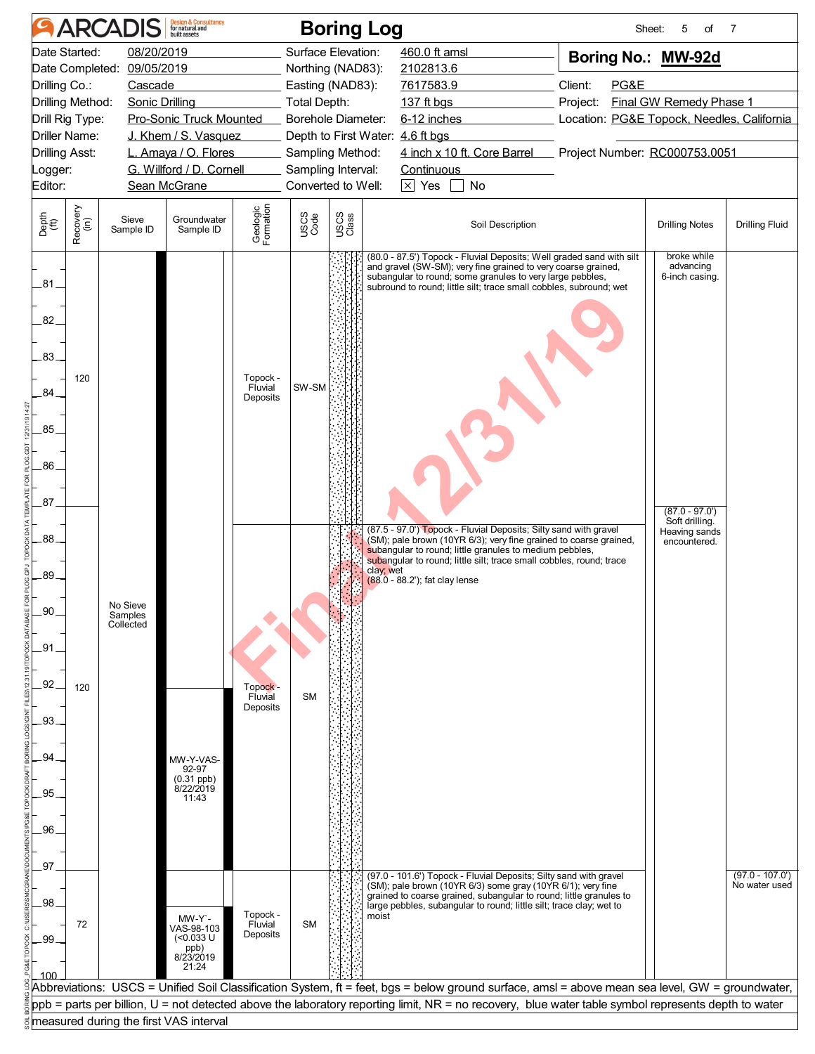|                                                                                                                                                                                                                                                                                                                                          | <b>ARCADIS</b>                         | <b>Design &amp; Consultancy</b><br>for natural and                |                                 |                                                                                                                                                                                                       | <b>Boring Log</b> |                                                                                                                                                                                                                                                                                                                        |                                                                                                                                                                    | 5<br>Sheet:<br>of                                              | 7                     |
|------------------------------------------------------------------------------------------------------------------------------------------------------------------------------------------------------------------------------------------------------------------------------------------------------------------------------------------|----------------------------------------|-------------------------------------------------------------------|---------------------------------|-------------------------------------------------------------------------------------------------------------------------------------------------------------------------------------------------------|-------------------|------------------------------------------------------------------------------------------------------------------------------------------------------------------------------------------------------------------------------------------------------------------------------------------------------------------------|--------------------------------------------------------------------------------------------------------------------------------------------------------------------|----------------------------------------------------------------|-----------------------|
| Date Started:<br>08/20/2019<br>09/05/2019<br>Date Completed:<br>Drilling Co.:<br>Cascade<br>Drilling Method:<br>Sonic Drilling<br>Pro-Sonic Truck Mounted<br>Drill Rig Type:<br><b>Driller Name:</b><br>J. Khem / S. Vasquez<br>Drilling Asst:<br>L. Amaya / O. Flores<br>G. Willford / D. Cornell<br>_ogger:<br>Editor:<br>Sean McGrane |                                        |                                                                   |                                 | Surface Elevation:<br>Northing (NAD83):<br>Easting (NAD83):<br>Total Depth:<br>Borehole Diameter:<br>Depth to First Water: 4.6 ft bgs<br>Sampling Method:<br>Sampling Interval:<br>Converted to Well: |                   | 460.0 ft amsl<br>2102813.6<br>7617583.9<br>137 ft bgs<br>6-12 inches<br>4 inch x 10 ft. Core Barrel<br><b>Continuous</b><br>$\times$ Yes<br>No                                                                                                                                                                         | Boring No.: MW-92d<br>Client:<br>PG&E<br><b>Final GW Remedy Phase 1</b><br>Project:<br>Location: PG&E Topock, Needles, California<br>Project Number: RC000753.0051 |                                                                |                       |
| Recovery<br>(in)<br>Depth<br>(ft)                                                                                                                                                                                                                                                                                                        | Sieve<br>Sample ID                     | Groundwater<br>Sample ID                                          | Geologic<br>Formation           | USCS<br>Code                                                                                                                                                                                          | USCS<br>Class     | Soil Description                                                                                                                                                                                                                                                                                                       |                                                                                                                                                                    | <b>Drilling Notes</b>                                          | <b>Drilling Fluid</b> |
| .81.<br>82.<br>.83.<br>120<br>84<br>85<br>86<br>.87                                                                                                                                                                                                                                                                                      |                                        |                                                                   | Topock -<br>Fluvial<br>Deposits | SW-SM                                                                                                                                                                                                 |                   | (80.0 - 87.5') Topock - Fluvial Deposits; Well graded sand with silt<br>and gravel (SW-SM); very fine grained to very coarse grained,<br>subangular to round; some granules to very large pebbles,<br>subround to round; little silt; trace small cobbles, subround; wet                                               |                                                                                                                                                                    | broke while<br>advancing<br>6-inch casing.<br>$(87.0 - 97.0')$ |                       |
| .88<br>.89<br>.90<br>.91<br>92<br>120<br>.93<br>94<br>95                                                                                                                                                                                                                                                                                 | No Sieve<br>Samples<br>Collected       | MW-Y-VAS-<br>92-97<br>$(0.31$ ppb)<br>$8/22/2019$<br>11:43        | Topock -<br>Fluvial<br>Deposits | <b>SM</b>                                                                                                                                                                                             |                   | (87.5 - 97.0') Topock - Fluvial Deposits; Silty sand with gravel<br>(SM); pale brown (10YR 6/3); very fine grained to coarse grained,<br>subangular to round; little granules to medium pebbles,<br>subangular to round; little silt; trace small cobbles, round; trace<br>clay; wet<br>(88.0 - 88.2'); fat clay lense |                                                                                                                                                                    | Soft drilling.<br>Heaving sands<br>encountered.                |                       |
| .96<br>.97                                                                                                                                                                                                                                                                                                                               |                                        |                                                                   |                                 |                                                                                                                                                                                                       |                   | (97.0 - 101.6') Topock - Fluvial Deposits; Silty sand with gravel                                                                                                                                                                                                                                                      |                                                                                                                                                                    |                                                                | $(97.0 - 107.0')$     |
| .98<br>72<br>-99                                                                                                                                                                                                                                                                                                                         |                                        | MW-Y`-<br>VAS-98-103<br>$(<0.033$ U<br>ppb)<br>8/23/2019<br>21:24 | Topock -<br>Fluvial<br>Deposits | <b>SM</b>                                                                                                                                                                                             | moist             | (SM); pale brown (10YR 6/3) some gray (10YR 6/1); very fine<br>grained to coarse grained, subangular to round; little granules to<br>large pebbles, subangular to round; little silt; trace clay; wet to                                                                                                               |                                                                                                                                                                    |                                                                | No water used         |
|                                                                                                                                                                                                                                                                                                                                          |                                        |                                                                   |                                 |                                                                                                                                                                                                       |                   | Abbreviations:  USCS = Unified Soil Classification System, ft = feet, bgs = below ground surface, amsl = above mean sea level, GW = groundwater,<br>ppb = parts per billion, U = not detected above the laboratory reporting limit, NR = no recovery, blue water table symbol represents depth to water                |                                                                                                                                                                    |                                                                |                       |
|                                                                                                                                                                                                                                                                                                                                          | measured during the first VAS interval |                                                                   |                                 |                                                                                                                                                                                                       |                   |                                                                                                                                                                                                                                                                                                                        |                                                                                                                                                                    |                                                                |                       |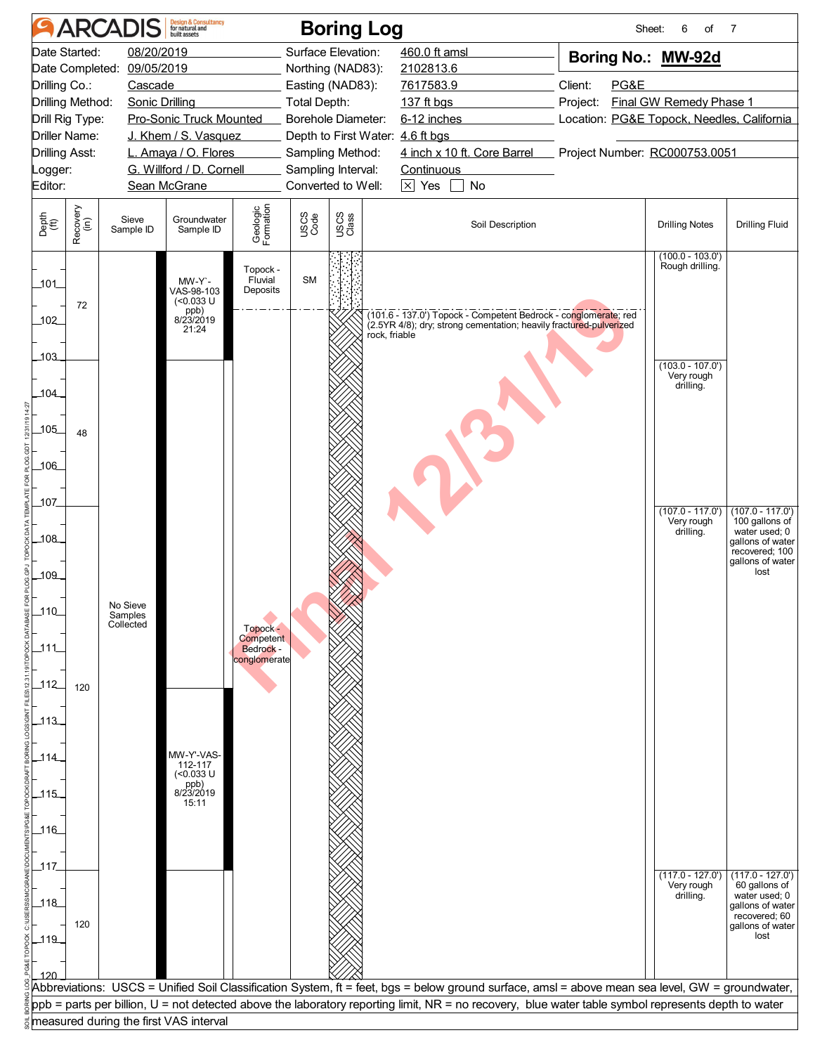![](_page_12_Figure_0.jpeg)